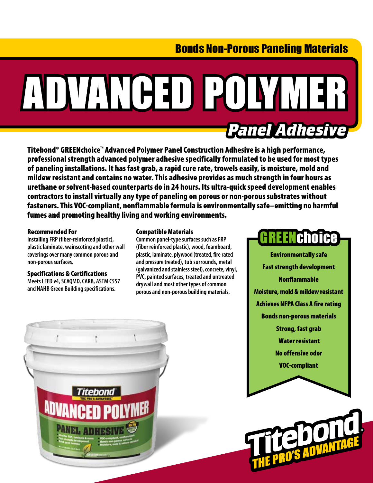# Bonds Non-Porous Paneling Materials

ADVANGED PONYM *Panel Adhesive*

Titebond® GREENchoice™ Advanced Polymer Panel Construction Adhesive is a high performance, professional strength advanced polymer adhesive specifically formulated to be used for most types of paneling installations. It has fast grab, a rapid cure rate, trowels easily, is moisture, mold and mildew resistant and contains no water. This adhesive provides as much strength in four hours as urethane or solvent-based counterparts do in 24 hours. Its ultra-quick speed development enables contractors to install virtually any type of paneling on porous or non-porous substrates without fasteners. This VOC-compliant, nonflammable formula is environmentally safe–emitting no harmful fumes and promoting healthy living and working environments.

#### Recommended For

**Installing FRP (fiber-reinforced plastic), plastic laminate, wainscoting and other wall coverings over many common porous and non-porous surfaces.**

Specifications & Certifications **Meets LEED v4, SCAQMD, CARB, ASTM C557 and NAHB Green Building specifications.**

**(fiber reinforced plastic), wood, foamboard, plastic, laminate, plywood (treated, fire rated and pressure treated), tub surrounds, metal (galvanized and stainless steel), concrete, vinyl, PVC, painted surfaces, treated and untreated drywall and most other types of common porous and non-porous building materials.**



Environmentally safe Fast strength development Nonflammable Moisture, mold & mildew resistant Achieves NFPA Class A fire rating Bonds non-porous materials Strong, fast grab Water resistant No offensive odor VOC-compliant